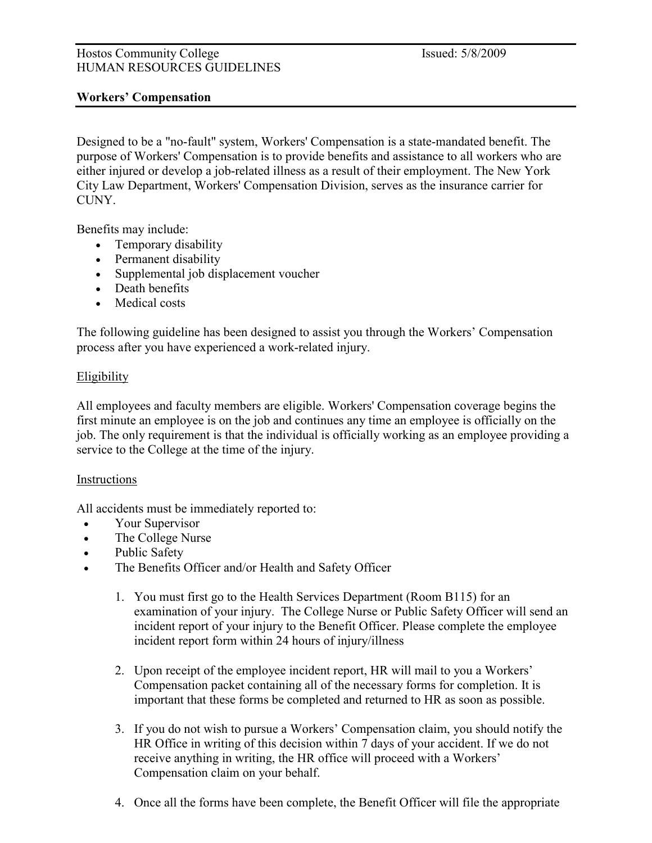### Hostos Community College Issued: 5/8/2009 HUMAN RESOURCES GUIDELINES

# Workers' Compensation

Designed to be a "no-fault" system, Workers' Compensation is a state-mandated benefit. The purpose of Workers' Compensation is to provide benefits and assistance to all workers who are either injured or develop a job-related illness as a result of their employment. The New York City Law Department, Workers' Compensation Division, serves as the insurance carrier for **CUNY** 

Benefits may include:

- Temporary disability
- Permanent disability
- Supplemental job displacement voucher
- Death benefits
- Medical costs

The following guideline has been designed to assist you through the Workers' Compensation process after you have experienced a work-related injury.

# **Eligibility**

All employees and faculty members are eligible. Workers' Compensation coverage begins the first minute an employee is on the job and continues any time an employee is officially on the job. The only requirement is that the individual is officially working as an employee providing a service to the College at the time of the injury.

# Instructions

All accidents must be immediately reported to:

- Your Supervisor
- The College Nurse
- Public Safety
- The Benefits Officer and/or Health and Safety Officer
	- 1. You must first go to the Health Services Department (Room B115) for an examination of your injury. The College Nurse or Public Safety Officer will send an incident report of your injury to the Benefit Officer. Please complete the employee incident report form within 24 hours of injury/illness
	- 2. Upon receipt of the employee incident report, HR will mail to you a Workers' Compensation packet containing all of the necessary forms for completion. It is important that these forms be completed and returned to HR as soon as possible.
	- 3. If you do not wish to pursue a Workers' Compensation claim, you should notify the HR Office in writing of this decision within 7 days of your accident. If we do not receive anything in writing, the HR office will proceed with a Workers' Compensation claim on your behalf.
	- 4. Once all the forms have been complete, the Benefit Officer will file the appropriate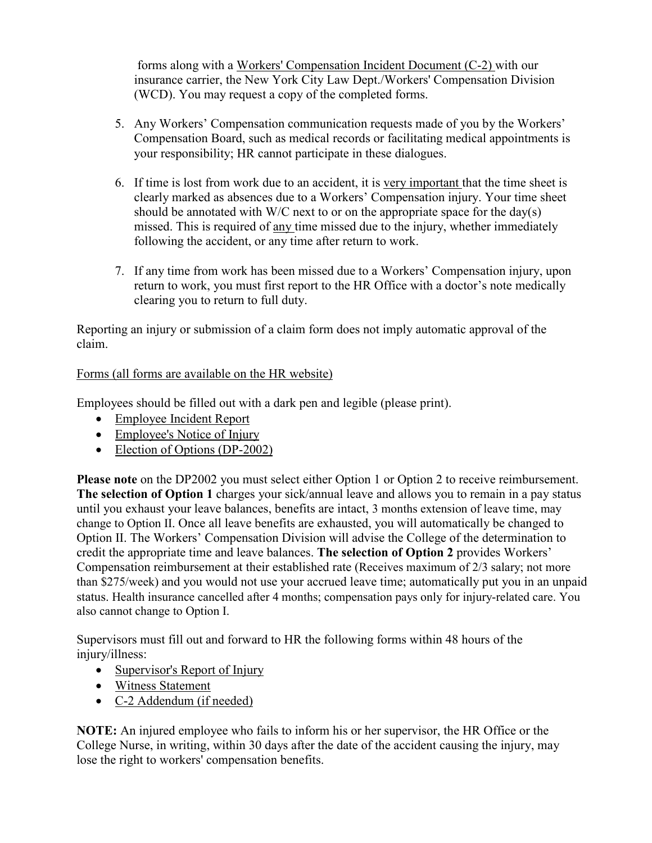forms along with a Workers' Compensation Incident Document (C-2) with our insurance carrier, the New York City Law Dept./Workers' Compensation Division (WCD). You may request a copy of the completed forms.

- 5. Any Workers' Compensation communication requests made of you by the Workers' Compensation Board, such as medical records or facilitating medical appointments is your responsibility; HR cannot participate in these dialogues.
- 6. If time is lost from work due to an accident, it is very important that the time sheet is clearly marked as absences due to a Workers' Compensation injury. Your time sheet should be annotated with W/C next to or on the appropriate space for the day(s) missed. This is required of any time missed due to the injury, whether immediately following the accident, or any time after return to work.
- 7. If any time from work has been missed due to a Workers' Compensation injury, upon return to work, you must first report to the HR Office with a doctor's note medically clearing you to return to full duty.

Reporting an injury or submission of a claim form does not imply automatic approval of the claim.

# Forms (all forms are available on the HR website)

Employees should be filled out with a dark pen and legible (please print).

- Employee Incident Report
- Employee's Notice of Injury
- Election of Options (DP-2002)

Please note on the DP2002 you must select either Option 1 or Option 2 to receive reimbursement. The selection of Option 1 charges your sick/annual leave and allows you to remain in a pay status until you exhaust your leave balances, benefits are intact, 3 months extension of leave time, may change to Option II. Once all leave benefits are exhausted, you will automatically be changed to Option II. The Workers' Compensation Division will advise the College of the determination to credit the appropriate time and leave balances. The selection of Option 2 provides Workers' Compensation reimbursement at their established rate (Receives maximum of 2/3 salary; not more than \$275/week) and you would not use your accrued leave time; automatically put you in an unpaid status. Health insurance cancelled after 4 months; compensation pays only for injury-related care. You also cannot change to Option I.

Supervisors must fill out and forward to HR the following forms within 48 hours of the injury/illness:

- Supervisor's Report of Injury
- Witness Statement
- C-2 Addendum (if needed)

NOTE: An injured employee who fails to inform his or her supervisor, the HR Office or the College Nurse, in writing, within 30 days after the date of the accident causing the injury, may lose the right to workers' compensation benefits.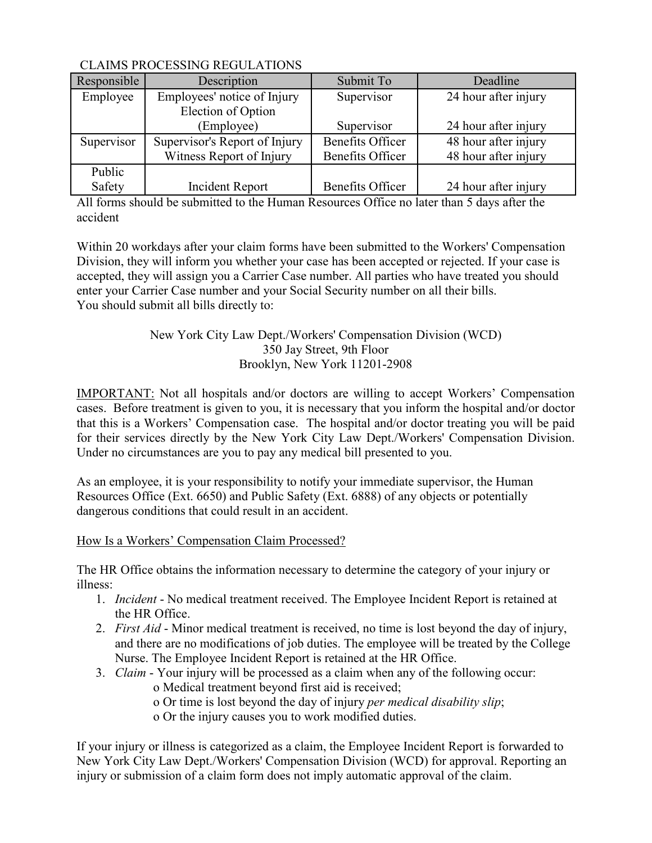| Responsible | Description                   | Submit To               | Deadline             |
|-------------|-------------------------------|-------------------------|----------------------|
| Employee    | Employees' notice of Injury   | Supervisor              | 24 hour after injury |
|             | Election of Option            |                         |                      |
|             | (Employee)                    | Supervisor              | 24 hour after injury |
| Supervisor  | Supervisor's Report of Injury | <b>Benefits Officer</b> | 48 hour after injury |
|             | Witness Report of Injury      | <b>Benefits Officer</b> | 48 hour after injury |
| Public      |                               |                         |                      |
| Safety      | Incident Report               | Benefits Officer        | 24 hour after injury |

All forms should be submitted to the Human Resources Office no later than 5 days after the accident

Within 20 workdays after your claim forms have been submitted to the Workers' Compensation Division, they will inform you whether your case has been accepted or rejected. If your case is accepted, they will assign you a Carrier Case number. All parties who have treated you should enter your Carrier Case number and your Social Security number on all their bills. You should submit all bills directly to:

# New York City Law Dept./Workers' Compensation Division (WCD) 350 Jay Street, 9th Floor Brooklyn, New York 11201-2908

IMPORTANT: Not all hospitals and/or doctors are willing to accept Workers' Compensation cases. Before treatment is given to you, it is necessary that you inform the hospital and/or doctor that this is a Workers' Compensation case. The hospital and/or doctor treating you will be paid for their services directly by the New York City Law Dept./Workers' Compensation Division. Under no circumstances are you to pay any medical bill presented to you.

As an employee, it is your responsibility to notify your immediate supervisor, the Human Resources Office (Ext. 6650) and Public Safety (Ext. 6888) of any objects or potentially dangerous conditions that could result in an accident.

# How Is a Workers' Compensation Claim Processed?

The HR Office obtains the information necessary to determine the category of your injury or illness:

- 1. Incident No medical treatment received. The Employee Incident Report is retained at the HR Office.
- 2. First Aid Minor medical treatment is received, no time is lost beyond the day of injury, and there are no modifications of job duties. The employee will be treated by the College Nurse. The Employee Incident Report is retained at the HR Office.
- 3. Claim Your injury will be processed as a claim when any of the following occur:
	- o Medical treatment beyond first aid is received;
	- o Or time is lost beyond the day of injury per medical disability slip;
	- o Or the injury causes you to work modified duties.

If your injury or illness is categorized as a claim, the Employee Incident Report is forwarded to New York City Law Dept./Workers' Compensation Division (WCD) for approval. Reporting an injury or submission of a claim form does not imply automatic approval of the claim.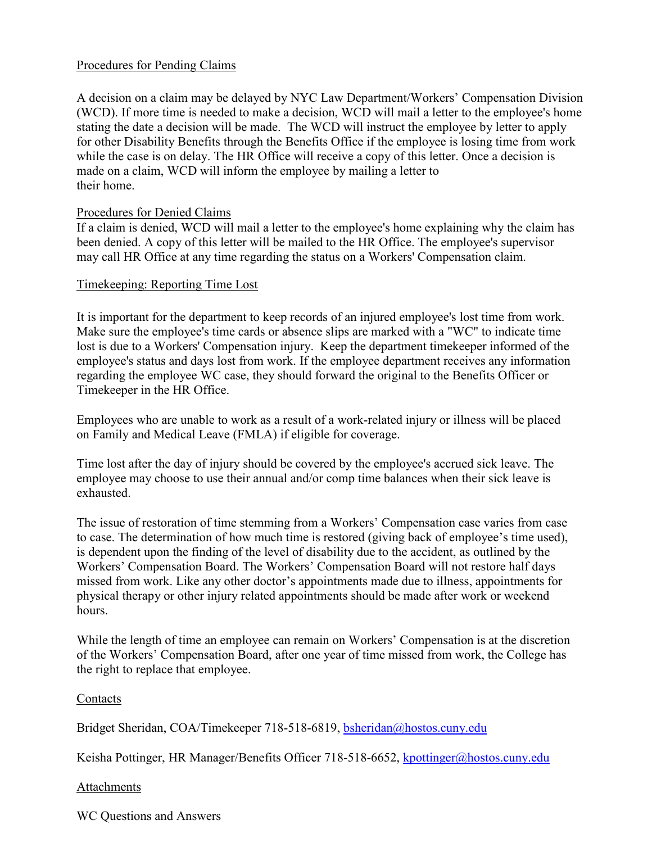### Procedures for Pending Claims

A decision on a claim may be delayed by NYC Law Department/Workers' Compensation Division (WCD). If more time is needed to make a decision, WCD will mail a letter to the employee's home stating the date a decision will be made. The WCD will instruct the employee by letter to apply for other Disability Benefits through the Benefits Office if the employee is losing time from work while the case is on delay. The HR Office will receive a copy of this letter. Once a decision is made on a claim, WCD will inform the employee by mailing a letter to their home.

### Procedures for Denied Claims

If a claim is denied, WCD will mail a letter to the employee's home explaining why the claim has been denied. A copy of this letter will be mailed to the HR Office. The employee's supervisor may call HR Office at any time regarding the status on a Workers' Compensation claim.

### Timekeeping: Reporting Time Lost

It is important for the department to keep records of an injured employee's lost time from work. Make sure the employee's time cards or absence slips are marked with a "WC" to indicate time lost is due to a Workers' Compensation injury. Keep the department timekeeper informed of the employee's status and days lost from work. If the employee department receives any information regarding the employee WC case, they should forward the original to the Benefits Officer or Timekeeper in the HR Office.

Employees who are unable to work as a result of a work-related injury or illness will be placed on Family and Medical Leave (FMLA) if eligible for coverage.

Time lost after the day of injury should be covered by the employee's accrued sick leave. The employee may choose to use their annual and/or comp time balances when their sick leave is exhausted.

The issue of restoration of time stemming from a Workers' Compensation case varies from case to case. The determination of how much time is restored (giving back of employee's time used), is dependent upon the finding of the level of disability due to the accident, as outlined by the Workers' Compensation Board. The Workers' Compensation Board will not restore half days missed from work. Like any other doctor's appointments made due to illness, appointments for physical therapy or other injury related appointments should be made after work or weekend hours.

While the length of time an employee can remain on Workers' Compensation is at the discretion of the Workers' Compensation Board, after one year of time missed from work, the College has the right to replace that employee.

### Contacts

Bridget Sheridan, COA/Timekeeper 718-518-6819, bsheridan@hostos.cuny.edu

Keisha Pottinger, HR Manager/Benefits Officer 718-518-6652, kpottinger@hostos.cuny.edu

### Attachments

WC Questions and Answers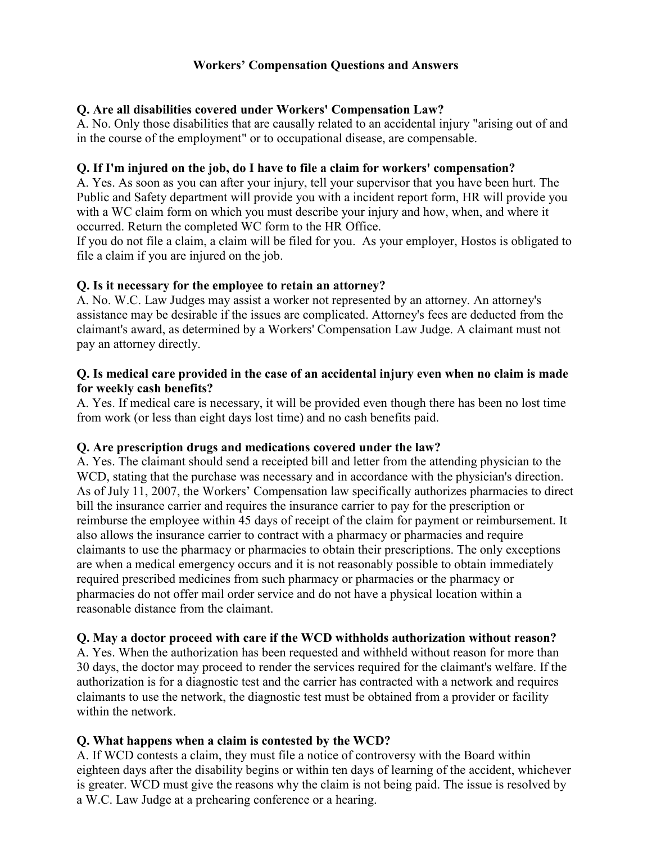# Workers' Compensation Questions and Answers

# Q. Are all disabilities covered under Workers' Compensation Law?

A. No. Only those disabilities that are causally related to an accidental injury "arising out of and in the course of the employment" or to occupational disease, are compensable.

### Q. If I'm injured on the job, do I have to file a claim for workers' compensation?

A. Yes. As soon as you can after your injury, tell your supervisor that you have been hurt. The Public and Safety department will provide you with a incident report form, HR will provide you with a WC claim form on which you must describe your injury and how, when, and where it occurred. Return the completed WC form to the HR Office.

If you do not file a claim, a claim will be filed for you. As your employer, Hostos is obligated to file a claim if you are injured on the job.

### Q. Is it necessary for the employee to retain an attorney?

A. No. W.C. Law Judges may assist a worker not represented by an attorney. An attorney's assistance may be desirable if the issues are complicated. Attorney's fees are deducted from the claimant's award, as determined by a Workers' Compensation Law Judge. A claimant must not pay an attorney directly.

### Q. Is medical care provided in the case of an accidental injury even when no claim is made for weekly cash benefits?

A. Yes. If medical care is necessary, it will be provided even though there has been no lost time from work (or less than eight days lost time) and no cash benefits paid.

### Q. Are prescription drugs and medications covered under the law?

A. Yes. The claimant should send a receipted bill and letter from the attending physician to the WCD, stating that the purchase was necessary and in accordance with the physician's direction. As of July 11, 2007, the Workers' Compensation law specifically authorizes pharmacies to direct bill the insurance carrier and requires the insurance carrier to pay for the prescription or reimburse the employee within 45 days of receipt of the claim for payment or reimbursement. It also allows the insurance carrier to contract with a pharmacy or pharmacies and require claimants to use the pharmacy or pharmacies to obtain their prescriptions. The only exceptions are when a medical emergency occurs and it is not reasonably possible to obtain immediately required prescribed medicines from such pharmacy or pharmacies or the pharmacy or pharmacies do not offer mail order service and do not have a physical location within a reasonable distance from the claimant.

### Q. May a doctor proceed with care if the WCD withholds authorization without reason?

A. Yes. When the authorization has been requested and withheld without reason for more than 30 days, the doctor may proceed to render the services required for the claimant's welfare. If the authorization is for a diagnostic test and the carrier has contracted with a network and requires claimants to use the network, the diagnostic test must be obtained from a provider or facility within the network.

# Q. What happens when a claim is contested by the WCD?

A. If WCD contests a claim, they must file a notice of controversy with the Board within eighteen days after the disability begins or within ten days of learning of the accident, whichever is greater. WCD must give the reasons why the claim is not being paid. The issue is resolved by a W.C. Law Judge at a prehearing conference or a hearing.